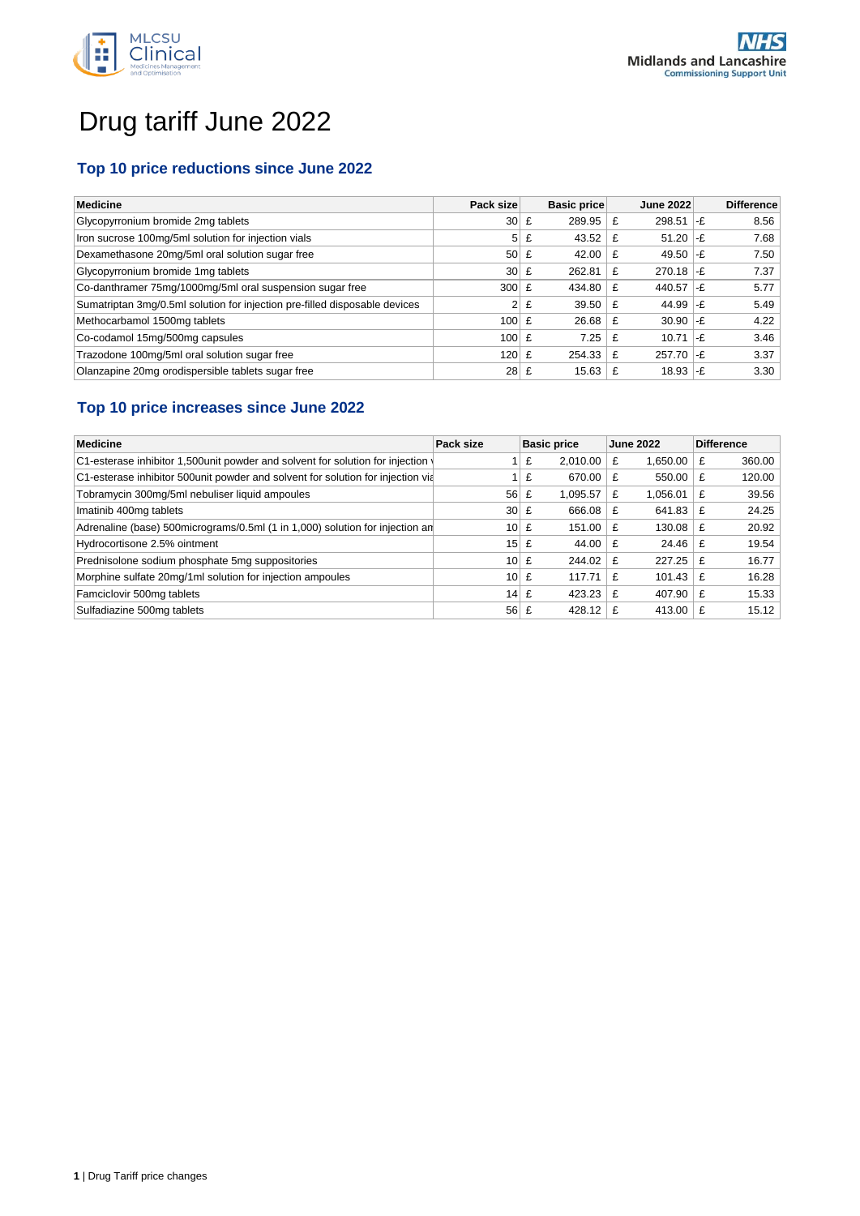

# Drug tariff June 2022

### **Top 10 price reductions since June 2022**

| <b>Medicine</b>                                                            | Pack size         |   | Basic price |   | <b>June 2022</b>           |       | <b>Difference</b> |
|----------------------------------------------------------------------------|-------------------|---|-------------|---|----------------------------|-------|-------------------|
| Glycopyrronium bromide 2mg tablets                                         | $30 \mid \pounds$ |   | 289.95      | £ | 298.51                     | ∣-£   | 8.56              |
| Iron sucrose 100mg/5ml solution for injection vials                        | 5 <sup>1</sup>    | £ | 43.52       | £ | $51.20$ -£                 |       | 7.68              |
| Dexamethasone 20mg/5ml oral solution sugar free                            | 50 <sub>1</sub>   | £ | 42.00       |   | 49.50 $\left  -E \right $  |       | 7.50              |
| Glycopyrronium bromide 1mg tablets                                         | 30 <sup>1</sup>   | £ | 262.81      | £ | $270.18$ -£                |       | 7.37              |
| Co-danthramer 75mg/1000mg/5ml oral suspension sugar free                   | 300               | £ | 434.80      | £ | 440.57 $\left  -E \right $ |       | 5.77              |
| Sumatriptan 3mg/0.5ml solution for injection pre-filled disposable devices | 2 <sup>1</sup>    | £ | 39.50       | £ | 44.99 $-E$                 |       | 5.49              |
| Methocarbamol 1500mg tablets                                               | $100 \, \text{E}$ |   | 26.68       | £ | $30.90$ -£                 |       | 4.22              |
| Co-codamol 15mg/500mg capsules                                             | 100               | £ | 7.25        | £ | 10.71                      | $ -f$ | 3.46              |
| Trazodone 100mg/5ml oral solution sugar free                               | $120 \mathsf{E}$  |   | 254.33      | £ | $257.70$ -£                |       | 3.37              |
| Olanzapine 20mg orodispersible tablets sugar free                          | 28                | £ | 15.63       |   | $18.93$ -£                 |       | 3.30              |

## **Top 10 price increases since June 2022**

| <b>Medicine</b>                                                                  | Pack size       | <b>Basic price</b><br><b>June 2022</b> |               | <b>Difference</b> |  |
|----------------------------------------------------------------------------------|-----------------|----------------------------------------|---------------|-------------------|--|
| C1-esterase inhibitor 1,500 unit powder and solvent for solution for injection   |                 | £<br>2.010.00                          | 1.650.00<br>£ | 360.00<br>£       |  |
| C1-esterase inhibitor 500 unit powder and solvent for solution for injection via |                 | £<br>670.00                            | 550.00<br>£   | 120.00<br>£       |  |
| Tobramycin 300mg/5ml nebuliser liquid ampoules                                   | 56              | £<br>1,095.57                          | 1.056.01<br>£ | 39.56<br>£        |  |
| Imatinib 400mg tablets                                                           | 30 <sup>1</sup> | £<br>666.08                            | 641.83<br>£   | 24.25<br>£        |  |
| Adrenaline (base) 500micrograms/0.5ml (1 in 1,000) solution for injection an     | 10 <sup>1</sup> | 151.00<br>£                            | 130.08<br>f   | 20.92<br>£        |  |
| Hydrocortisone 2.5% ointment                                                     | 15              | 44.00<br>£                             | 24.46<br>£    | 19.54<br>£        |  |
| Prednisolone sodium phosphate 5mg suppositories                                  | 10 <sup>1</sup> | 244.02<br>£                            | 227.25<br>£   | 16.77<br>£        |  |
| Morphine sulfate 20mg/1ml solution for injection ampoules                        | 10 <sup>1</sup> | £<br>117.71                            | 101.43<br>f   | 16.28<br>£        |  |
| Famciclovir 500mg tablets                                                        | 14              | 423.23<br>£                            | 407.90<br>f   | 15.33<br>£        |  |
| Sulfadiazine 500mg tablets                                                       | 56              | £<br>428.12                            | 413.00        | 15.12<br>£        |  |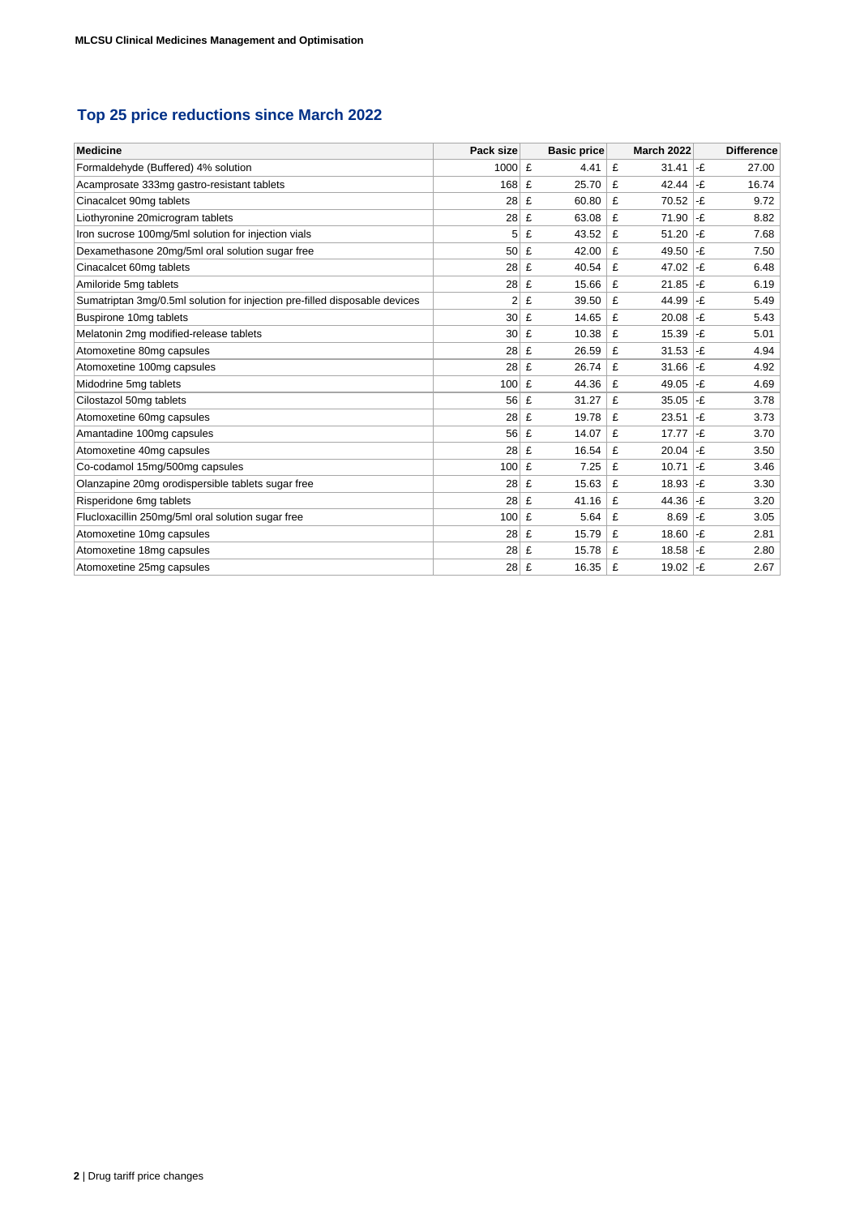## **Top 25 price reductions since March 2022**

| <b>Medicine</b>                                                            | Pack size       | <b>Basic price</b> | <b>March 2022</b> | <b>Difference</b> |
|----------------------------------------------------------------------------|-----------------|--------------------|-------------------|-------------------|
| Formaldehyde (Buffered) 4% solution                                        | 1000 £          | 4.41               | £<br>31.41        | -£<br>27.00       |
| Acamprosate 333mg gastro-resistant tablets                                 | 168             | 25.70<br>£         | 42.44<br>£        | 16.74<br>-£       |
| Cinacalcet 90mg tablets                                                    | 28              | £<br>60.80         | £<br>70.52        | -£<br>9.72        |
| Liothyronine 20microgram tablets                                           | 28              | £<br>63.08         | 71.90<br>£        | -£<br>8.82        |
| Iron sucrose 100mg/5ml solution for injection vials                        | 5               | £<br>43.52         | £<br>51.20        | -£<br>7.68        |
| Dexamethasone 20mg/5ml oral solution sugar free                            | 50 <sub>1</sub> | £<br>42.00         | £<br>49.50        | -£<br>7.50        |
| Cinacalcet 60mg tablets                                                    | 28              | £<br>40.54         | £<br>47.02        | -£<br>6.48        |
| Amiloride 5mg tablets                                                      | 28              | £<br>15.66         | £<br>21.85        | -£<br>6.19        |
| Sumatriptan 3mg/0.5ml solution for injection pre-filled disposable devices | $\overline{2}$  | £<br>39.50         | £<br>44.99        | -£<br>5.49        |
| Buspirone 10mg tablets                                                     | 30 <sup>2</sup> | £<br>14.65         | £<br>20.08        | -£<br>5.43        |
| Melatonin 2mg modified-release tablets                                     | $30$ £          | 10.38              | £<br>15.39        | -£<br>5.01        |
| Atomoxetine 80mg capsules                                                  | 28              | £<br>26.59         | £<br>31.53        | -£<br>4.94        |
| Atomoxetine 100mg capsules                                                 | 28              | £<br>26.74         | £<br>31.66        | -£<br>4.92        |
| Midodrine 5mg tablets                                                      | 100             | £<br>44.36         | £<br>49.05        | -£<br>4.69        |
| Cilostazol 50mg tablets                                                    | 56              | £<br>31.27         | £<br>35.05        | -£<br>3.78        |
| Atomoxetine 60mg capsules                                                  | 28              | 19.78<br>£         | £<br>23.51        | -£<br>3.73        |
| Amantadine 100mg capsules                                                  | 56              | £<br>14.07         | £<br>17.77        | -£<br>3.70        |
| Atomoxetine 40mg capsules                                                  | 28 <sup>1</sup> | £<br>16.54         | £<br>20.04        | -£<br>3.50        |
| Co-codamol 15mg/500mg capsules                                             | 100             | £<br>7.25          | £<br>10.71        | -£<br>3.46        |
| Olanzapine 20mg orodispersible tablets sugar free                          | 28              | £<br>15.63         | £<br>18.93        | -£<br>3.30        |
| Risperidone 6mg tablets                                                    | 28              | £<br>41.16         | 44.36<br>£        | -£<br>3.20        |
| Flucloxacillin 250mg/5ml oral solution sugar free                          | 100             | £<br>5.64          | £<br>8.69         | -£<br>3.05        |
| Atomoxetine 10mg capsules                                                  | 28              | 15.79<br>£         | £<br>18.60        | -£<br>2.81        |
| Atomoxetine 18mg capsules                                                  | 28              | 15.78<br>£         | £<br>18.58        | -£<br>2.80        |
| Atomoxetine 25mg capsules                                                  | 28              | £<br>16.35         | £<br>19.02        | 2.67<br>-£        |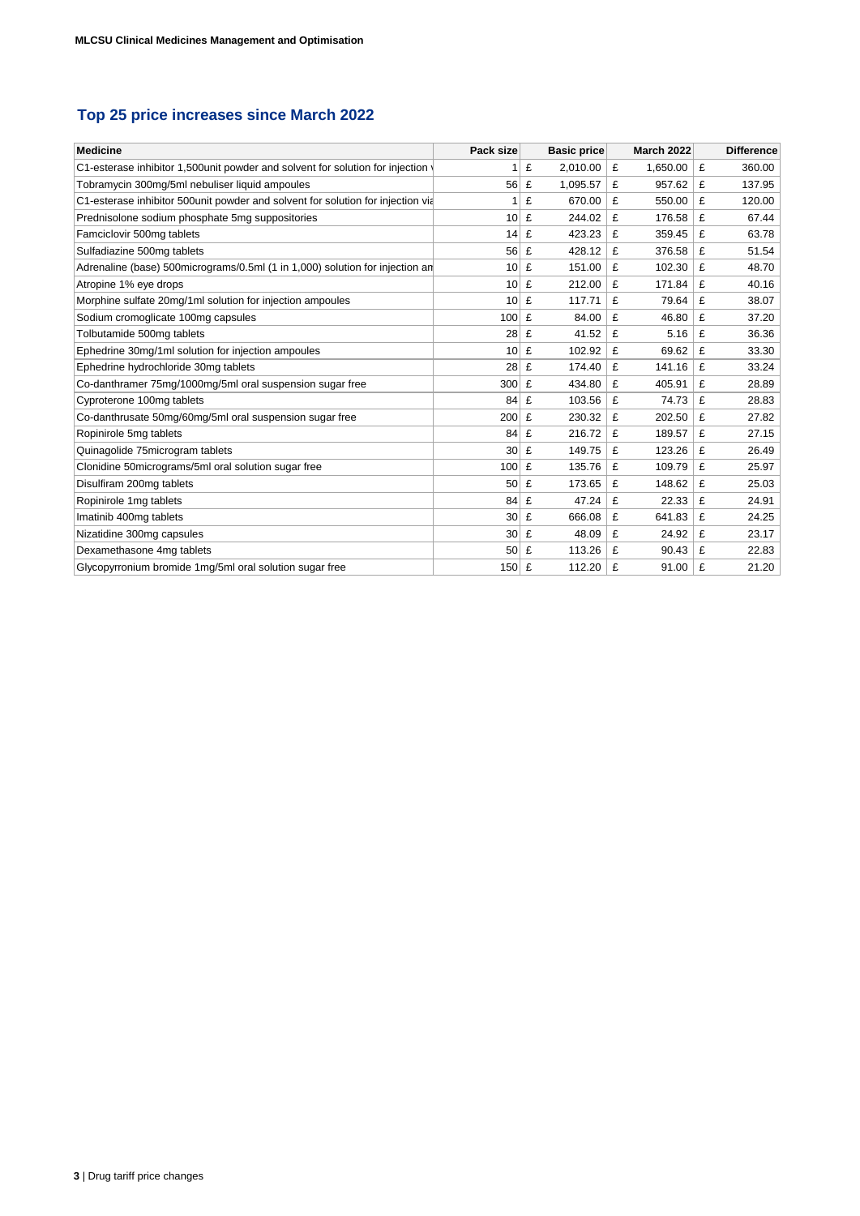## **Top 25 price increases since March 2022**

| <b>Medicine</b>                                                                  | Pack size       |   | <b>Basic price</b> |   | <b>March 2022</b> |   | <b>Difference</b> |
|----------------------------------------------------------------------------------|-----------------|---|--------------------|---|-------------------|---|-------------------|
|                                                                                  |                 |   |                    |   |                   |   |                   |
| C1-esterase inhibitor 1,500 unit powder and solvent for solution for injection   |                 | £ | 2,010.00           | £ | 1,650.00          | £ | 360.00            |
| Tobramycin 300mg/5ml nebuliser liquid ampoules                                   | 56              | £ | 1,095.57           | £ | 957.62            | £ | 137.95            |
| C1-esterase inhibitor 500 unit powder and solvent for solution for injection via | 1               | £ | 670.00             | £ | 550.00            | £ | 120.00            |
| Prednisolone sodium phosphate 5mg suppositories                                  | 10              | £ | 244.02             | £ | 176.58            | £ | 67.44             |
| Famciclovir 500mg tablets                                                        | 14              | £ | 423.23             | £ | 359.45            | £ | 63.78             |
| Sulfadiazine 500mg tablets                                                       | 56              | £ | 428.12             | £ | 376.58            | £ | 51.54             |
| Adrenaline (base) 500micrograms/0.5ml (1 in 1,000) solution for injection an     | 10 <sup>1</sup> | £ | 151.00             | £ | 102.30            | £ | 48.70             |
| Atropine 1% eye drops                                                            | 10              | £ | 212.00             | £ | 171.84            | £ | 40.16             |
| Morphine sulfate 20mg/1ml solution for injection ampoules                        | 10 <sup>1</sup> | £ | 117.71             | £ | 79.64             | £ | 38.07             |
| Sodium cromoglicate 100mg capsules                                               | 100             | £ | 84.00              | £ | 46.80             | £ | 37.20             |
| Tolbutamide 500mg tablets                                                        | 28              | £ | 41.52              | £ | 5.16              | £ | 36.36             |
| Ephedrine 30mg/1ml solution for injection ampoules                               | 10 <sup>1</sup> | £ | 102.92             | £ | 69.62             | £ | 33.30             |
| Ephedrine hydrochloride 30mg tablets                                             | 28              | £ | 174.40             | £ | 141.16            | £ | 33.24             |
| Co-danthramer 75mg/1000mg/5ml oral suspension sugar free                         | 300             | £ | 434.80             | £ | 405.91            | £ | 28.89             |
| Cyproterone 100mg tablets                                                        | 84              | £ | 103.56             | £ | 74.73             | £ | 28.83             |
| Co-danthrusate 50mg/60mg/5ml oral suspension sugar free                          | 200             | £ | 230.32             | £ | 202.50            | £ | 27.82             |
| Ropinirole 5mg tablets                                                           | 84              | £ | 216.72             | £ | 189.57            | £ | 27.15             |
| Quinagolide 75microgram tablets                                                  | 30 <sup>2</sup> | £ | 149.75             | £ | 123.26            | £ | 26.49             |
| Clonidine 50micrograms/5ml oral solution sugar free                              | 100             | £ | 135.76             | £ | 109.79            | £ | 25.97             |
| Disulfiram 200mg tablets                                                         | 50              | £ | 173.65             | £ | 148.62            | £ | 25.03             |
| Ropinirole 1mg tablets                                                           | 84              | £ | 47.24              | £ | 22.33             | £ | 24.91             |
| Imatinib 400mg tablets                                                           | $30$            | £ | 666.08             | £ | 641.83            | £ | 24.25             |
| Nizatidine 300mg capsules                                                        | 30              | £ | 48.09              | £ | 24.92             | £ | 23.17             |
| Dexamethasone 4mg tablets                                                        | 50              | £ | 113.26             | £ | 90.43             | £ | 22.83             |
| Glycopyrronium bromide 1mg/5ml oral solution sugar free                          | $150$ £         |   | 112.20             | £ | 91.00             | £ | 21.20             |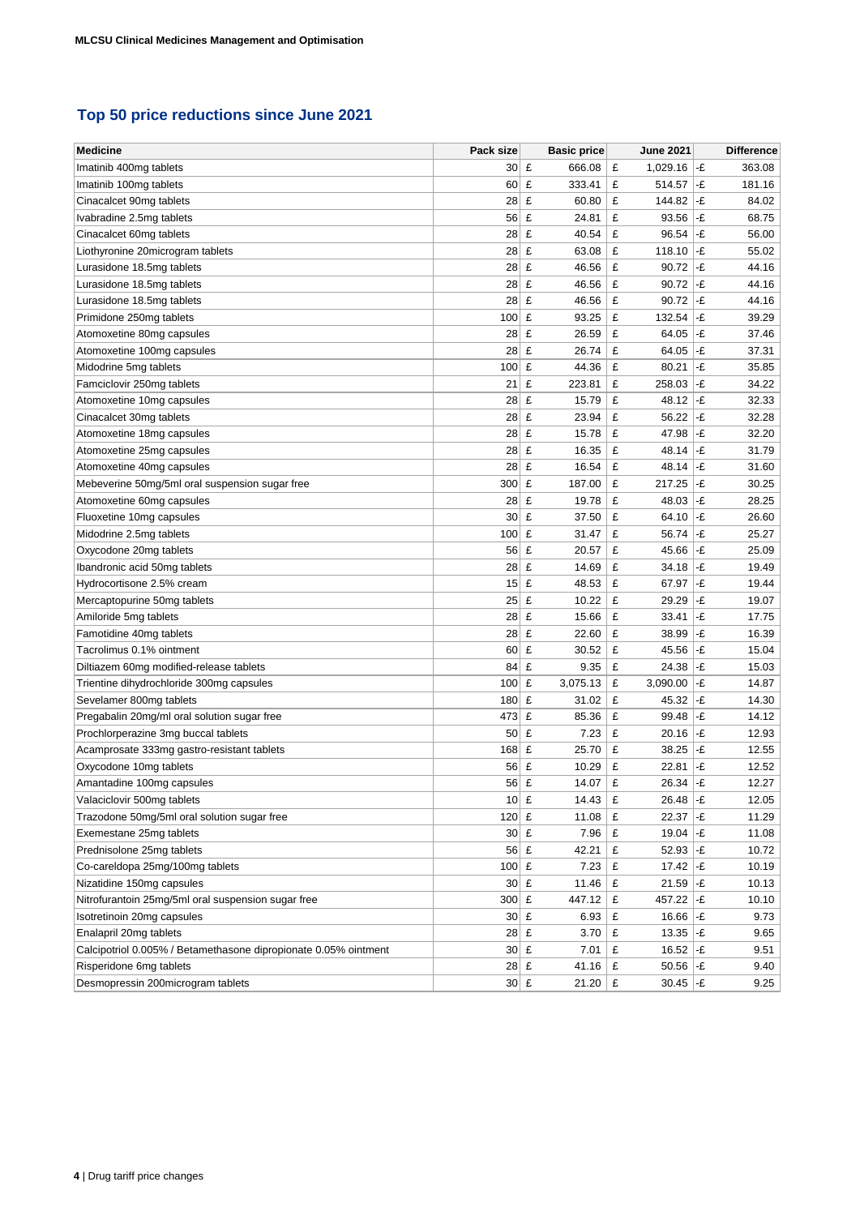## **Top 50 price reductions since June 2021**

| <b>Medicine</b>                                                 | Pack size          | <b>Basic price</b> | <b>June 2021</b> | <b>Difference</b> |
|-----------------------------------------------------------------|--------------------|--------------------|------------------|-------------------|
| Imatinib 400mg tablets                                          | $30 \mid \pounds$  | 666.08             | 1,029.16<br>£    | -£<br>363.08      |
| Imatinib 100mg tablets                                          | 60                 | £<br>333.41        | £<br>514.57      | -£<br>181.16      |
| Cinacalcet 90mg tablets                                         | 28                 | £<br>60.80         | £<br>144.82      | -£<br>84.02       |
| Ivabradine 2.5mg tablets                                        | 56                 | £<br>24.81         | £<br>93.56       | -£<br>68.75       |
| Cinacalcet 60mg tablets                                         | 28                 | £<br>40.54         | £<br>96.54       | -£<br>56.00       |
| Liothyronine 20microgram tablets                                | 28                 | £<br>63.08         | £<br>118.10      | -£<br>55.02       |
| Lurasidone 18.5mg tablets                                       | 28                 | £<br>46.56         | £<br>90.72       | -£<br>44.16       |
| Lurasidone 18.5mg tablets                                       | $28 \mid \pounds$  | 46.56              | £<br>90.72       | -£<br>44.16       |
| Lurasidone 18.5mg tablets                                       | $28$ £             | 46.56              | £<br>90.72       | -£<br>44.16       |
| Primidone 250mg tablets                                         | 100                | £<br>93.25         | £<br>132.54      | -£<br>39.29       |
| Atomoxetine 80mg capsules                                       | 28                 | £<br>26.59         | £<br>64.05       | -£<br>37.46       |
| Atomoxetine 100mg capsules                                      | 28                 | £<br>26.74         | £<br>64.05       | -£<br>37.31       |
| Midodrine 5mg tablets                                           | 100                | £<br>44.36         | £<br>80.21       | 35.85<br>-£       |
| Famciclovir 250mg tablets                                       | 21                 | £<br>223.81        | £<br>258.03      | -£<br>34.22       |
| Atomoxetine 10mg capsules                                       | 28                 | £<br>15.79         | £<br>48.12       | -£<br>32.33       |
| Cinacalcet 30mg tablets                                         | 28                 | £<br>23.94         | £<br>56.22       | -£<br>32.28       |
| Atomoxetine 18mg capsules                                       | 28                 | £<br>15.78         | £<br>47.98       | -£<br>32.20       |
| Atomoxetine 25mg capsules                                       | 28                 | £<br>16.35         | £<br>48.14       | -£<br>31.79       |
| Atomoxetine 40mg capsules                                       | 28                 | £<br>16.54         | £<br>48.14       | -£<br>31.60       |
| Mebeverine 50mg/5ml oral suspension sugar free                  | 300 E              | 187.00             | £<br>217.25      | -£<br>30.25       |
| Atomoxetine 60mg capsules                                       | $28 \mid \pounds$  | 19.78              | £<br>48.03       | -£<br>28.25       |
| Fluoxetine 10mg capsules                                        | $30 \mid E$        | 37.50              | £<br>64.10       | -£<br>26.60       |
| Midodrine 2.5mg tablets                                         | 100                | £<br>31.47         | £<br>56.74       | -£<br>25.27       |
| Oxycodone 20mg tablets                                          | 56                 | £<br>20.57         | £<br>45.66       | -£<br>25.09       |
| Ibandronic acid 50mg tablets                                    | 28                 | £<br>14.69         | £<br>34.18       | -£<br>19.49       |
| Hydrocortisone 2.5% cream                                       | $15$ £             | 48.53              | £<br>67.97       | -£<br>19.44       |
| Mercaptopurine 50mg tablets                                     | 25                 | £<br>10.22         | £<br>29.29       | -£<br>19.07       |
| Amiloride 5mg tablets                                           | 28                 | £<br>15.66         | £<br>33.41       | -£<br>17.75       |
| Famotidine 40mg tablets                                         | 28                 | £<br>22.60         | £<br>38.99       | -£<br>16.39       |
| Tacrolimus 0.1% ointment                                        | 60                 | £<br>30.52         | £<br>45.56       | -£<br>15.04       |
| Diltiazem 60mg modified-release tablets                         | 84                 | £<br>9.35          | £<br>24.38       | -£<br>15.03       |
| Trientine dihydrochloride 300mg capsules                        | $100 \mid \pounds$ | 3,075.13           | £<br>3,090.00    | -£<br>14.87       |
| Sevelamer 800mg tablets                                         | 180                | £<br>31.02         | £<br>45.32       | -£<br>14.30       |
| Pregabalin 20mg/ml oral solution sugar free                     | 473 £              | 85.36              | £<br>99.48       | -£<br>14.12       |
| Prochlorperazine 3mg buccal tablets                             | 50 <sub>1</sub>    | £<br>7.23          | £<br>20.16       | -£<br>12.93       |
| Acamprosate 333mg gastro-resistant tablets                      | 168                | £<br>25.70         | £<br>38.25       | -£<br>12.55       |
| Oxycodone 10mg tablets                                          | 56                 | £<br>10.29         | £<br>22.81       | -£<br>12.52       |
| Amantadine 100mg capsules                                       | 56                 | £<br>14.07         | £<br>26.34       | -£<br>12.27       |
| Valaciclovir 500mg tablets                                      | $10$ £             | 14.43              | £<br>$26.48$ -£  | 12.05             |
| Trazodone 50mg/5ml oral solution sugar free                     | $120$ £            | 11.08              | 22.37<br>£       | -£<br>11.29       |
| Exemestane 25mg tablets                                         | $30 \mid \pounds$  | 7.96               | £<br>19.04       | -£<br>11.08       |
| Prednisolone 25mg tablets                                       | $56 \mid \pounds$  | 42.21              | £<br>52.93       | -£<br>10.72       |
| Co-careldopa 25mg/100mg tablets                                 | 100 £              | 7.23               | £<br>17.42       | -£<br>10.19       |
| Nizatidine 150mg capsules                                       | $30 \mid \pounds$  | 11.46              | £<br>21.59       | -£<br>10.13       |
| Nitrofurantoin 25mg/5ml oral suspension sugar free              | 300 £              | 447.12             | £<br>457.22      | -£<br>10.10       |
| Isotretinoin 20mg capsules                                      | $30$ £             | 6.93               | £<br>16.66       | -£<br>9.73        |
| Enalapril 20mg tablets                                          | $28$ £             | 3.70               | £<br>13.35       | -£<br>9.65        |
| Calcipotriol 0.005% / Betamethasone dipropionate 0.05% ointment | $30 \mid \pounds$  | 7.01               | £<br>16.52       | -£<br>9.51        |
| Risperidone 6mg tablets                                         | $28$ £             | 41.16              | £<br>50.56       | -£<br>9.40        |
| Desmopressin 200microgram tablets                               | $30 \mid \pounds$  | 21.20              | £<br>30.45       | 9.25<br>-£        |